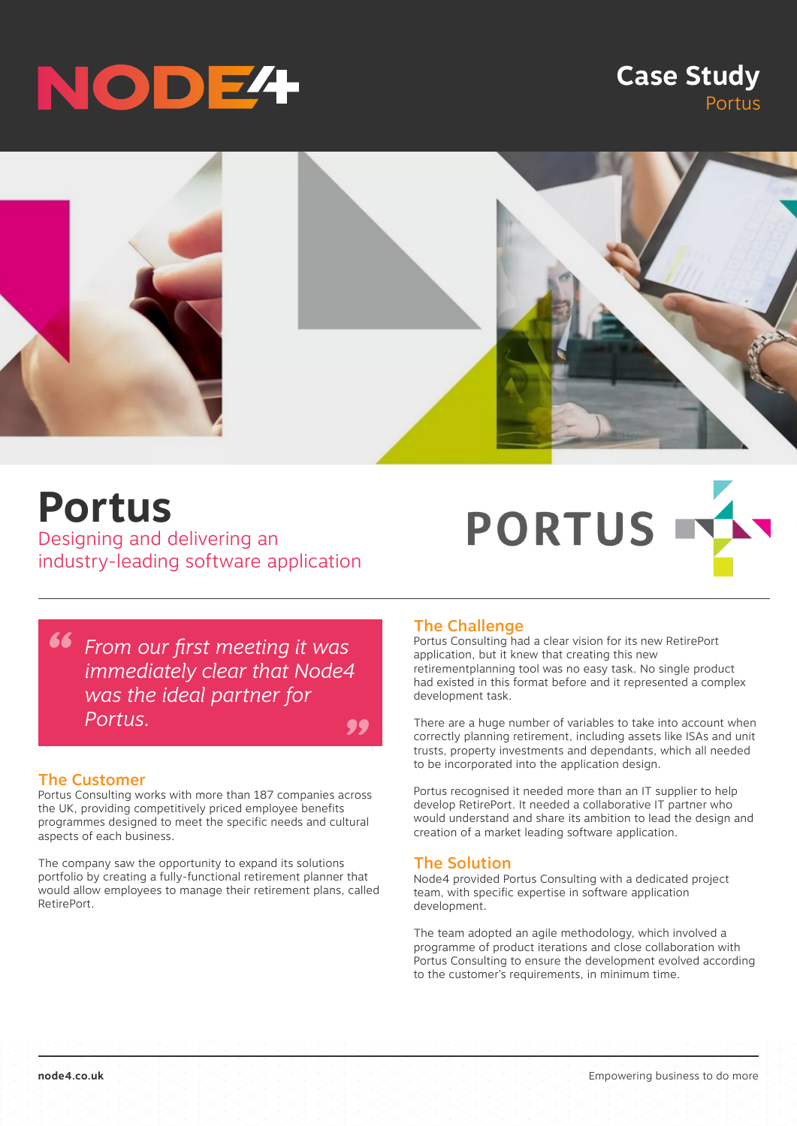# NODE<sup>4</sup>

### **Case Study** Portus



## **Portus**

Designing and delivering an industry-leading software application



*" From our first meeting it was " immediately clear that Node4 was the ideal partner for Portus.*

#### The Customer

Portus Consulting works with more than 187 companies across the UK, providing competitively priced employee benefits programmes designed to meet the specific needs and cultural aspects of each business.

The company saw the opportunity to expand its solutions portfolio by creating a fully-functional retirement planner that would allow employees to manage their retirement plans, called RetirePort.

#### The Challenge

Portus Consulting had a clear vision for its new RetirePort application, but it knew that creating this new retirementplanning tool was no easy task. No single product had existed in this format before and it represented a complex development task.

There are a huge number of variables to take into account when correctly planning retirement, including assets like ISAs and unit trusts, property investments and dependants, which all needed to be incorporated into the application design.

Portus recognised it needed more than an IT supplier to help develop RetirePort. It needed a collaborative IT partner who would understand and share its ambition to lead the design and creation of a market leading software application.

#### The Solution

Node4 provided Portus Consulting with a dedicated project team, with specific expertise in software application development.

The team adopted an agile methodology, which involved a programme of product iterations and close collaboration with Portus Consulting to ensure the development evolved according to the customer's requirements, in minimum time.